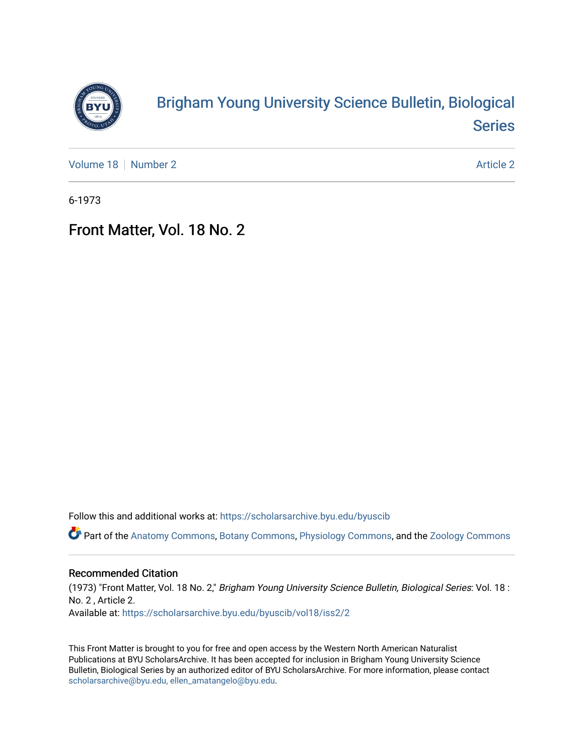

# [Brigham Young University Science Bulletin, Biological](https://scholarsarchive.byu.edu/byuscib)  [Series](https://scholarsarchive.byu.edu/byuscib)

[Volume 18](https://scholarsarchive.byu.edu/byuscib/vol18) [Number 2](https://scholarsarchive.byu.edu/byuscib/vol18/iss2) [Article 2](https://scholarsarchive.byu.edu/byuscib/vol18/iss2/2) Article 2 Article 2 Article 2 Article 2 Article 2 Article 2

6-1973

## Front Matter, Vol. 18 No. 2

Follow this and additional works at: [https://scholarsarchive.byu.edu/byuscib](https://scholarsarchive.byu.edu/byuscib?utm_source=scholarsarchive.byu.edu%2Fbyuscib%2Fvol18%2Fiss2%2F2&utm_medium=PDF&utm_campaign=PDFCoverPages)

Part of the [Anatomy Commons,](http://network.bepress.com/hgg/discipline/903?utm_source=scholarsarchive.byu.edu%2Fbyuscib%2Fvol18%2Fiss2%2F2&utm_medium=PDF&utm_campaign=PDFCoverPages) [Botany Commons,](http://network.bepress.com/hgg/discipline/104?utm_source=scholarsarchive.byu.edu%2Fbyuscib%2Fvol18%2Fiss2%2F2&utm_medium=PDF&utm_campaign=PDFCoverPages) [Physiology Commons,](http://network.bepress.com/hgg/discipline/69?utm_source=scholarsarchive.byu.edu%2Fbyuscib%2Fvol18%2Fiss2%2F2&utm_medium=PDF&utm_campaign=PDFCoverPages) and the [Zoology Commons](http://network.bepress.com/hgg/discipline/81?utm_source=scholarsarchive.byu.edu%2Fbyuscib%2Fvol18%2Fiss2%2F2&utm_medium=PDF&utm_campaign=PDFCoverPages)

#### Recommended Citation

(1973) "Front Matter, Vol. 18 No. 2," Brigham Young University Science Bulletin, Biological Series: Vol. 18 : No. 2 , Article 2. Available at: [https://scholarsarchive.byu.edu/byuscib/vol18/iss2/2](https://scholarsarchive.byu.edu/byuscib/vol18/iss2/2?utm_source=scholarsarchive.byu.edu%2Fbyuscib%2Fvol18%2Fiss2%2F2&utm_medium=PDF&utm_campaign=PDFCoverPages) 

This Front Matter is brought to you for free and open access by the Western North American Naturalist Publications at BYU ScholarsArchive. It has been accepted for inclusion in Brigham Young University Science Bulletin, Biological Series by an authorized editor of BYU ScholarsArchive. For more information, please contact [scholarsarchive@byu.edu, ellen\\_amatangelo@byu.edu](mailto:scholarsarchive@byu.edu,%20ellen_amatangelo@byu.edu).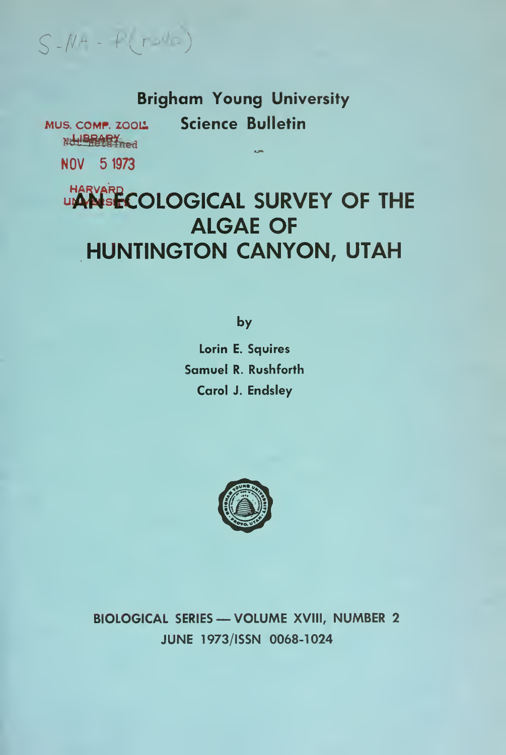$S - N + - f(r - \sqrt{c})$ 

## **Brigham Young University Science Bulletin**

MUS. COMP. ZOOL Nd BRARY NOV 5 1973

**LIARVARD COLOGICAL SURVEY OF THE ALGAE OF** HUNTINGTON CANYON, UTAH

by

Lorin E. Squires Samuel R. Rushforth Carol J. Endsley



**BIOLOGICAL SERIES - VOLUME XVIII, NUMBER 2** JUNE 1973/ISSN 0068-1024